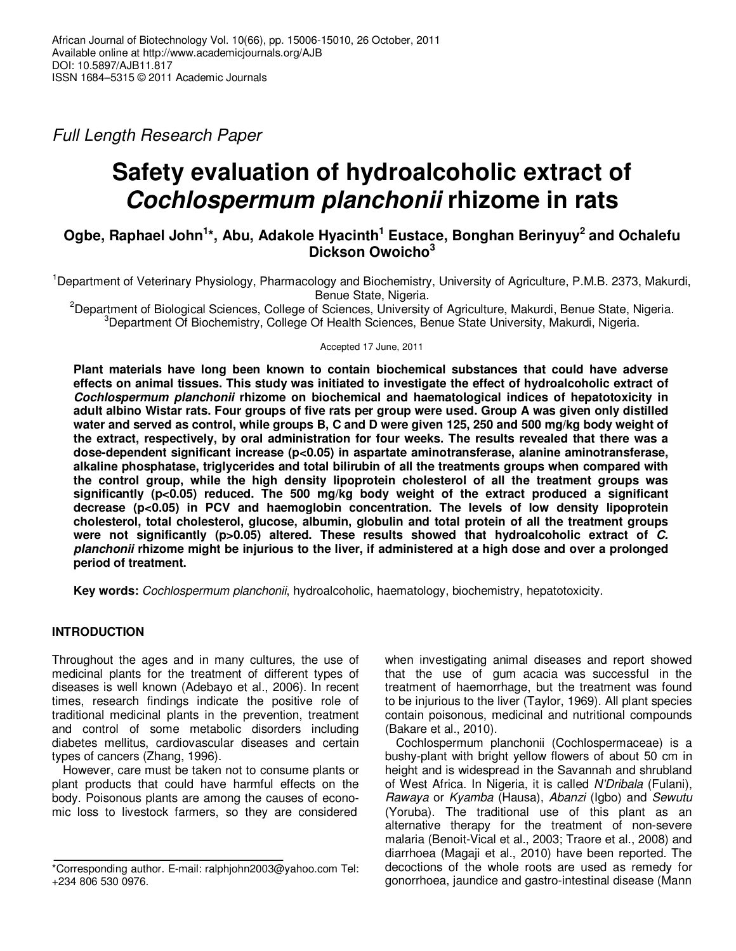Full Length Research Paper

# **Safety evaluation of hydroalcoholic extract of Cochlospermum planchonii rhizome in rats**

# **Ogbe, Raphael John<sup>1</sup> \*, Abu, Adakole Hyacinth<sup>1</sup> Eustace, Bonghan Berinyuy<sup>2</sup> and Ochalefu Dickson Owoicho<sup>3</sup>**

<sup>1</sup>Department of Veterinary Physiology, Pharmacology and Biochemistry, University of Agriculture, P.M.B. 2373, Makurdi, Benue State, Nigeria.

<sup>2</sup>Department of Biological Sciences, College of Sciences, University of Agriculture, Makurdi, Benue State, Nigeria. <sup>3</sup>Department Of Biochemistry, College Of Health Sciences, Benue State University, Makurdi, Nigeria.

Accepted 17 June, 2011

**Plant materials have long been known to contain biochemical substances that could have adverse effects on animal tissues. This study was initiated to investigate the effect of hydroalcoholic extract of Cochlospermum planchonii rhizome on biochemical and haematological indices of hepatotoxicity in adult albino Wistar rats. Four groups of five rats per group were used. Group A was given only distilled water and served as control, while groups B, C and D were given 125, 250 and 500 mg/kg body weight of the extract, respectively, by oral administration for four weeks. The results revealed that there was a dose-dependent significant increase (p<0.05) in aspartate aminotransferase, alanine aminotransferase, alkaline phosphatase, triglycerides and total bilirubin of all the treatments groups when compared with the control group, while the high density lipoprotein cholesterol of all the treatment groups was significantly (p<0.05) reduced. The 500 mg/kg body weight of the extract produced a significant**  decrease (p<0.05) in PCV and haemoglobin concentration. The levels of low density lipoprotein **cholesterol, total cholesterol, glucose, albumin, globulin and total protein of all the treatment groups**  were not significantly (p>0.05) altered. These results showed that hydroalcoholic extract of C. **planchonii rhizome might be injurious to the liver, if administered at a high dose and over a prolonged period of treatment.** 

**Key words:** Cochlospermum planchonii, hydroalcoholic, haematology, biochemistry, hepatotoxicity.

# **INTRODUCTION**

Throughout the ages and in many cultures, the use of medicinal plants for the treatment of different types of diseases is well known (Adebayo et al., 2006). In recent times, research findings indicate the positive role of traditional medicinal plants in the prevention, treatment and control of some metabolic disorders including diabetes mellitus, cardiovascular diseases and certain types of cancers (Zhang, 1996).

However, care must be taken not to consume plants or plant products that could have harmful effects on the body. Poisonous plants are among the causes of economic loss to livestock farmers, so they are considered when investigating animal diseases and report showed that the use of gum acacia was successful in the treatment of haemorrhage, but the treatment was found to be injurious to the liver (Taylor, 1969). All plant species contain poisonous, medicinal and nutritional compounds (Bakare et al., 2010).

Cochlospermum planchonii (Cochlospermaceae) is a bushy-plant with bright yellow flowers of about 50 cm in height and is widespread in the Savannah and shrubland of West Africa. In Nigeria, it is called N'Dribala (Fulani), Rawaya or Kyamba (Hausa), Abanzi (Igbo) and Sewutu (Yoruba). The traditional use of this plant as an alternative therapy for the treatment of non-severe malaria (Benoit-Vical et al., 2003; Traore et al., 2008) and diarrhoea (Magaji et al., 2010) have been reported. The decoctions of the whole roots are used as remedy for gonorrhoea, jaundice and gastro-intestinal disease (Mann

<sup>\*</sup>Corresponding author. E-mail: ralphjohn2003@yahoo.com Tel: +234 806 530 0976.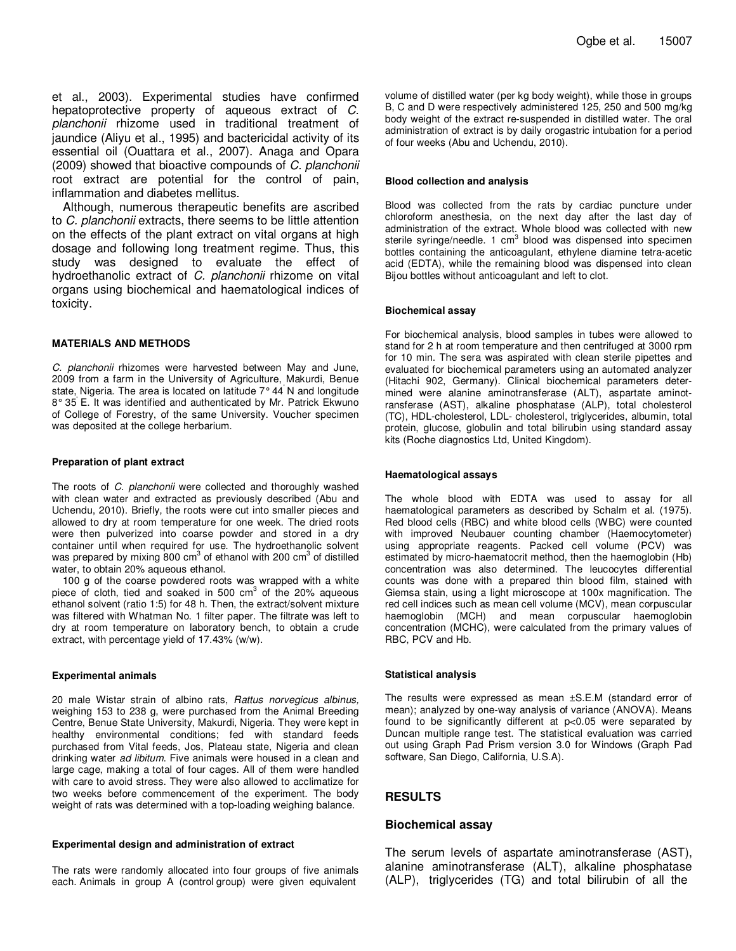et al., 2003). Experimental studies have confirmed hepatoprotective property of aqueous extract of C. planchonii rhizome used in traditional treatment of jaundice (Aliyu et al., 1995) and bactericidal activity of its essential oil (Ouattara et al., 2007). Anaga and Opara (2009) showed that bioactive compounds of C. planchonii root extract are potential for the control of pain, inflammation and diabetes mellitus.

Although, numerous therapeutic benefits are ascribed to C. planchonii extracts, there seems to be little attention on the effects of the plant extract on vital organs at high dosage and following long treatment regime. Thus, this study was designed to evaluate the effect of hydroethanolic extract of C. planchonii rhizome on vital organs using biochemical and haematological indices of toxicity.

#### **MATERIALS AND METHODS**

C. planchonii rhizomes were harvested between May and June, 2009 from a farm in the University of Agriculture, Makurdi, Benue state, Nigeria. The area is located on latitude 7° 44' N and longitude 8° 35' E. It was identified and authenticated by Mr. Patrick Ekwuno of College of Forestry, of the same University. Voucher specimen was deposited at the college herbarium.

#### **Preparation of plant extract**

The roots of C. planchonii were collected and thoroughly washed with clean water and extracted as previously described (Abu and Uchendu, 2010). Briefly, the roots were cut into smaller pieces and allowed to dry at room temperature for one week. The dried roots were then pulverized into coarse powder and stored in a dry container until when required for use. The hydroethanolic solvent was prepared by mixing 800 cm<sup>3</sup> of ethanol with 200 cm<sup>3</sup> of distilled water, to obtain 20% aqueous ethanol.

100 g of the coarse powdered roots was wrapped with a white piece of cloth, tied and soaked in 500 cm<sup>3</sup> of the 20% aqueous ethanol solvent (ratio 1:5) for 48 h. Then, the extract/solvent mixture was filtered with Whatman No. 1 filter paper. The filtrate was left to dry at room temperature on laboratory bench, to obtain a crude extract, with percentage yield of 17.43% (w/w).

#### **Experimental animals**

20 male Wistar strain of albino rats, Rattus norvegicus albinus, weighing 153 to 238 g, were purchased from the Animal Breeding Centre, Benue State University, Makurdi, Nigeria. They were kept in healthy environmental conditions; fed with standard feeds purchased from Vital feeds, Jos, Plateau state, Nigeria and clean drinking water ad libitum. Five animals were housed in a clean and large cage, making a total of four cages. All of them were handled with care to avoid stress. They were also allowed to acclimatize for two weeks before commencement of the experiment. The body weight of rats was determined with a top-loading weighing balance.

#### **Experimental design and administration of extract**

The rats were randomly allocated into four groups of five animals each. Animals in group A (control group) were given equivalent

volume of distilled water (per kg body weight), while those in groups B, C and D were respectively administered 125, 250 and 500 mg/kg body weight of the extract re-suspended in distilled water. The oral administration of extract is by daily orogastric intubation for a period of four weeks (Abu and Uchendu, 2010).

#### **Blood collection and analysis**

Blood was collected from the rats by cardiac puncture under chloroform anesthesia, on the next day after the last day of administration of the extract. Whole blood was collected with new sterile syringe/needle. 1 cm<sup>3</sup> blood was dispensed into specimen bottles containing the anticoagulant, ethylene diamine tetra-acetic acid (EDTA), while the remaining blood was dispensed into clean Bijou bottles without anticoagulant and left to clot.

#### **Biochemical assay**

For biochemical analysis, blood samples in tubes were allowed to stand for 2 h at room temperature and then centrifuged at 3000 rpm for 10 min. The sera was aspirated with clean sterile pipettes and evaluated for biochemical parameters using an automated analyzer (Hitachi 902, Germany). Clinical biochemical parameters determined were alanine aminotransferase (ALT), aspartate aminotransferase (AST), alkaline phosphatase (ALP), total cholesterol (TC), HDL-cholesterol, LDL- cholesterol, triglycerides, albumin, total protein, glucose, globulin and total bilirubin using standard assay kits (Roche diagnostics Ltd, United Kingdom).

#### **Haematological assays**

The whole blood with EDTA was used to assay for all haematological parameters as described by Schalm et al. (1975). Red blood cells (RBC) and white blood cells (WBC) were counted with improved Neubauer counting chamber (Haemocytometer) using appropriate reagents. Packed cell volume (PCV) was estimated by micro-haematocrit method, then the haemoglobin (Hb) concentration was also determined. The leucocytes differential counts was done with a prepared thin blood film, stained with Giemsa stain, using a light microscope at 100x magnification. The red cell indices such as mean cell volume (MCV), mean corpuscular haemoglobin (MCH) and mean corpuscular haemoglobin concentration (MCHC), were calculated from the primary values of RBC, PCV and Hb.

#### **Statistical analysis**

The results were expressed as mean ±S.E.M (standard error of mean); analyzed by one-way analysis of variance (ANOVA). Means found to be significantly different at p<0.05 were separated by Duncan multiple range test. The statistical evaluation was carried out using Graph Pad Prism version 3.0 for Windows (Graph Pad software, San Diego, California, U.S.A).

## **RESULTS**

### **Biochemical assay**

The serum levels of aspartate aminotransferase (AST), alanine aminotransferase (ALT), alkaline phosphatase (ALP), triglycerides (TG) and total bilirubin of all the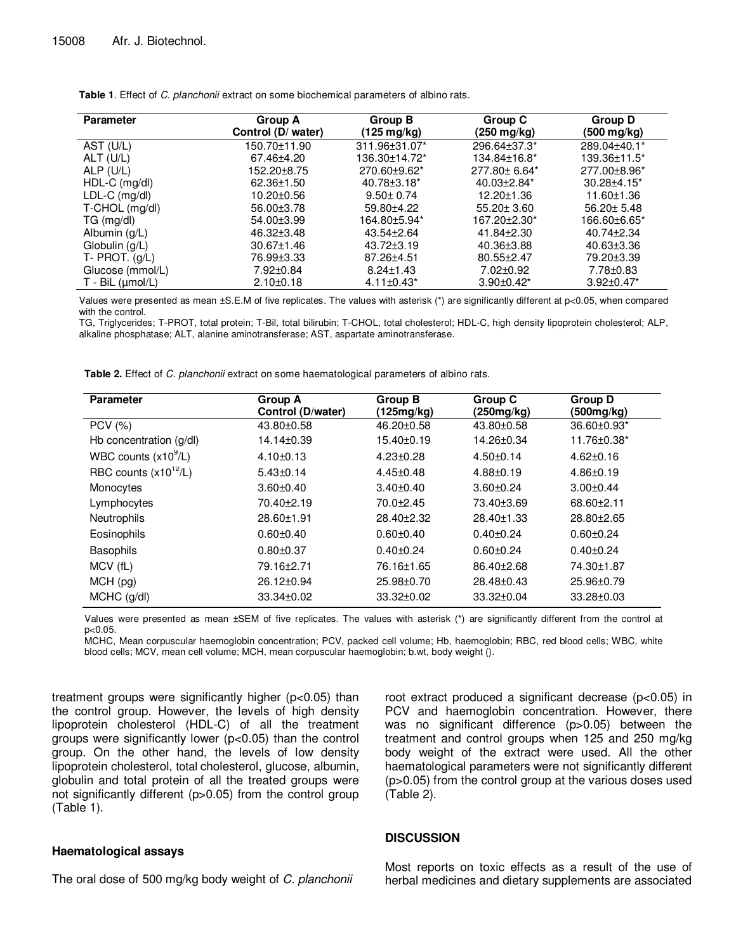| <b>Parameter</b>     | Group A            | Group B                      | Group C           | Group D            |
|----------------------|--------------------|------------------------------|-------------------|--------------------|
|                      | Control (D/ water) | (125 mg/kg)                  | (250 mg/kg)       | (500 mg/kg)        |
| AST (U/L)            | 150.70±11.90       | 311.96±31.07*                | 296.64±37.3*      | 289.04±40.1*       |
| ALT (U/L)            | 67.46±4.20         | 136.30±14.72*                | 134.84±16.8*      | 139.36±11.5*       |
| ALP $(U/L)$          | 152.20±8.75        | 270.60±9.62*                 | 277.80± 6.64*     | 277.00±8.96*       |
| $HDL-C$ (mg/dl)      | 62.36±1.50         | 40.78±3.18*                  | $40.03{\pm}2.84*$ | $30.28 \pm 4.15^*$ |
| LDL-C (mg/dl)        | 10.20±0.56         | $9.50 \pm 0.74$              | $12.20 \pm 1.36$  | 11.60±1.36         |
| T-CHOL (mg/dl)       | 56.00±3.78         | 59.80±4.22                   | 55.20± 3.60       | $56.20 \pm 5.48$   |
| TG (mg/dl)           | 54.00±3.99         | 164.80±5.94*                 | 167.20+2.30*      | 166.60±6.65*       |
| Albumin (g/L)        | 46.32±3.48         | 43.54±2.64                   | 41.84±2.30        | 40.74±2.34         |
| Globulin (g/L)       | $30.67 \pm 1.46$   | $43.72 + 3.19$               | 40.36±3.88        | 40.63±3.36         |
| $T - P$ ROT. $(g/L)$ | 76.99±3.33         | 87.26±4.51                   | 80.55±2.47        | 79.20±3.39         |
| Glucose (mmol/L)     | 7.92±0.84          | $8.24 \pm 1.43$              | 7.02±0.92         | 7.78±0.83          |
| $T - BiL (µmol/L)$   | $2.10+0.18$        | $4.11 \pm 0.43$ <sup>*</sup> | $3.90 + 0.42^*$   | $3.92 \pm 0.47^*$  |

**Table 1**. Effect of C. planchonii extract on some biochemical parameters of albino rats.

Values were presented as mean ±S.E.M of five replicates. The values with asterisk (\*) are significantly different at p<0.05, when compared with the control.

TG, Triglycerides; T-PROT, total protein; T-Bil, total bilirubin; T-CHOL, total cholesterol; HDL-C, high density lipoprotein cholesterol; ALP, alkaline phosphatase; ALT, alanine aminotransferase; AST, aspartate aminotransferase.

**Table 2.** Effect of C. planchonii extract on some haematological parameters of albino rats.

| <b>Parameter</b>          | Group A           | <b>Group B</b>   | Group C          | Group D          |
|---------------------------|-------------------|------------------|------------------|------------------|
|                           | Control (D/water) | (125mg/kg)       | (250mg/kg)       | (500mg/kg)       |
| <b>PCV</b> (%)            | 43.80±0.58        | 46.20±0.58       | 43.80±0.58       | 36.60±0.93*      |
| Hb concentration $(g/d)$  | 14.14±0.39        | 15.40±0.19       | 14.26±0.34       | 11.76±0.38*      |
| WBC counts $(x10^9/L)$    | $4.10 \pm 0.13$   | $4.23 \pm 0.28$  | $4.50+0.14$      | $4.62 \pm 0.16$  |
| RBC counts $(x10^{12}/L)$ | $5.43 \pm 0.14$   | $4.45 \pm 0.48$  | $4.88 + 0.19$    | $4.86 \pm 0.19$  |
| Monocytes                 | $3.60 + 0.40$     | $3.40 \pm 0.40$  | $3.60 \pm 0.24$  | $3.00 + 0.44$    |
| Lymphocytes               | 70.40±2.19        | 70.0±2.45        | 73.40±3.69       | 68.60±2.11       |
| <b>Neutrophils</b>        | 28.60±1.91        | $28.40 \pm 2.32$ | $28.40 \pm 1.33$ | 28.80±2.65       |
| Eosinophils               | $0.60 + 0.40$     | $0.60 + 0.40$    | $0.40 + 0.24$    | $0.60 + 0.24$    |
| <b>Basophils</b>          | $0.80 + 0.37$     | $0.40 + 0.24$    | $0.60 + 0.24$    | $0.40 + 0.24$    |
| MCV (fL)                  | 79.16±2.71        | 76.16±1.65       | 86.40+2.68       | 74.30±1.87       |
| $MCH$ (pg)                | 26.12±0.94        | 25.98±0.70       | 28.48±0.43       | 25.96±0.79       |
| $MCHC$ (g/dl)             | 33.34±0.02        | 33.32±0.02       | 33.32±0.04       | $33.28 \pm 0.03$ |

Values were presented as mean ±SEM of five replicates. The values with asterisk (\*) are significantly different from the control at p<0.05.

MCHC, Mean corpuscular haemoglobin concentration; PCV, packed cell volume; Hb, haemoglobin; RBC, red blood cells; WBC, white blood cells; MCV, mean cell volume; MCH, mean corpuscular haemoglobin; b.wt, body weight ().

treatment groups were significantly higher (p<0.05) than the control group. However, the levels of high density lipoprotein cholesterol (HDL-C) of all the treatment groups were significantly lower (p<0.05) than the control group. On the other hand, the levels of low density lipoprotein cholesterol, total cholesterol, glucose, albumin, globulin and total protein of all the treated groups were not significantly different (p>0.05) from the control group (Table 1).

# **Haematological assays**

The oral dose of 500 mg/kg body weight of C. planchonii

root extract produced a significant decrease (p<0.05) in PCV and haemoglobin concentration. However, there was no significant difference (p>0.05) between the treatment and control groups when 125 and 250 mg/kg body weight of the extract were used. All the other haematological parameters were not significantly different (p>0.05) from the control group at the various doses used (Table 2).

# **DISCUSSION**

Most reports on toxic effects as a result of the use of herbal medicines and dietary supplements are associated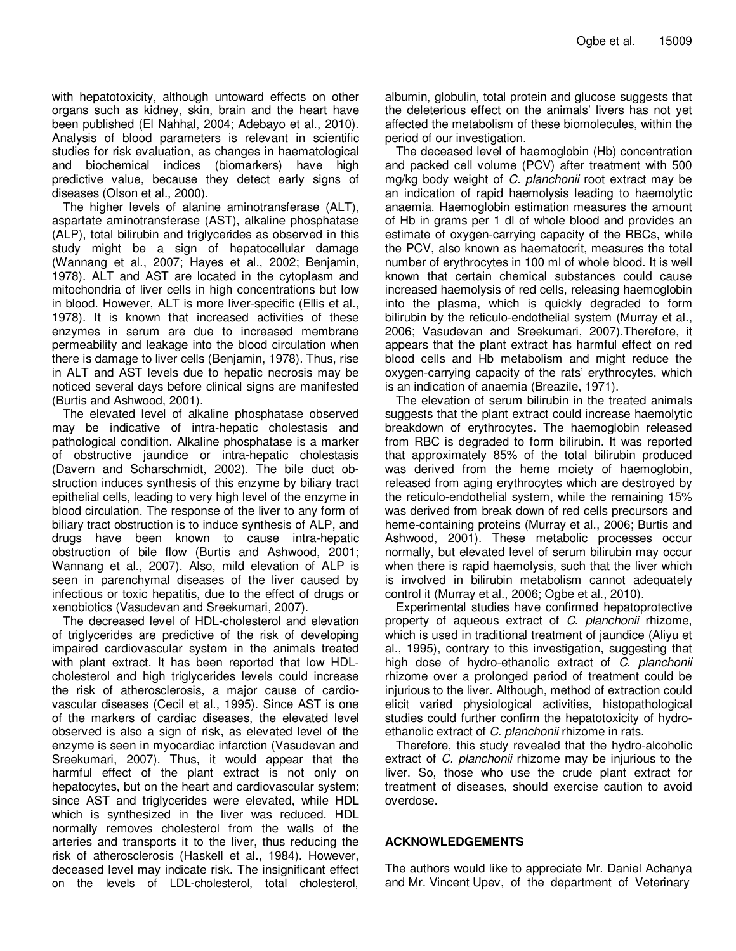with hepatotoxicity, although untoward effects on other organs such as kidney, skin, brain and the heart have been published (El Nahhal, 2004; Adebayo et al., 2010). Analysis of blood parameters is relevant in scientific studies for risk evaluation, as changes in haematological and biochemical indices (biomarkers) have high predictive value, because they detect early signs of diseases (Olson et al., 2000).

The higher levels of alanine aminotransferase (ALT), aspartate aminotransferase (AST), alkaline phosphatase (ALP), total bilirubin and triglycerides as observed in this study might be a sign of hepatocellular damage (Wannang et al., 2007; Hayes et al., 2002; Benjamin, 1978). ALT and AST are located in the cytoplasm and mitochondria of liver cells in high concentrations but low in blood. However, ALT is more liver-specific (Ellis et al., 1978). It is known that increased activities of these enzymes in serum are due to increased membrane permeability and leakage into the blood circulation when there is damage to liver cells (Benjamin, 1978). Thus, rise in ALT and AST levels due to hepatic necrosis may be noticed several days before clinical signs are manifested (Burtis and Ashwood, 2001).

The elevated level of alkaline phosphatase observed may be indicative of intra-hepatic cholestasis and pathological condition. Alkaline phosphatase is a marker of obstructive jaundice or intra-hepatic cholestasis (Davern and Scharschmidt, 2002). The bile duct obstruction induces synthesis of this enzyme by biliary tract epithelial cells, leading to very high level of the enzyme in blood circulation. The response of the liver to any form of biliary tract obstruction is to induce synthesis of ALP, and drugs have been known to cause intra-hepatic obstruction of bile flow (Burtis and Ashwood, 2001; Wannang et al., 2007). Also, mild elevation of ALP is seen in parenchymal diseases of the liver caused by infectious or toxic hepatitis, due to the effect of drugs or xenobiotics (Vasudevan and Sreekumari, 2007).

The decreased level of HDL-cholesterol and elevation of triglycerides are predictive of the risk of developing impaired cardiovascular system in the animals treated with plant extract. It has been reported that low HDLcholesterol and high triglycerides levels could increase the risk of atherosclerosis, a major cause of cardiovascular diseases (Cecil et al., 1995). Since AST is one of the markers of cardiac diseases, the elevated level observed is also a sign of risk, as elevated level of the enzyme is seen in myocardiac infarction (Vasudevan and Sreekumari, 2007). Thus, it would appear that the harmful effect of the plant extract is not only on hepatocytes, but on the heart and cardiovascular system; since AST and triglycerides were elevated, while HDL which is synthesized in the liver was reduced. HDL normally removes cholesterol from the walls of the arteries and transports it to the liver, thus reducing the risk of atherosclerosis (Haskell et al., 1984). However, deceased level may indicate risk. The insignificant effect on the levels of LDL-cholesterol, total cholesterol,

albumin, globulin, total protein and glucose suggests that the deleterious effect on the animals' livers has not yet affected the metabolism of these biomolecules, within the period of our investigation.

The deceased level of haemoglobin (Hb) concentration and packed cell volume (PCV) after treatment with 500 mg/kg body weight of C. planchonii root extract may be an indication of rapid haemolysis leading to haemolytic anaemia. Haemoglobin estimation measures the amount of Hb in grams per 1 dl of whole blood and provides an estimate of oxygen-carrying capacity of the RBCs, while the PCV, also known as haematocrit, measures the total number of erythrocytes in 100 ml of whole blood. It is well known that certain chemical substances could cause increased haemolysis of red cells, releasing haemoglobin into the plasma, which is quickly degraded to form bilirubin by the reticulo-endothelial system (Murray et al., 2006; Vasudevan and Sreekumari, 2007).Therefore, it appears that the plant extract has harmful effect on red blood cells and Hb metabolism and might reduce the oxygen-carrying capacity of the rats' erythrocytes, which is an indication of anaemia (Breazile, 1971).

The elevation of serum bilirubin in the treated animals suggests that the plant extract could increase haemolytic breakdown of erythrocytes. The haemoglobin released from RBC is degraded to form bilirubin. It was reported that approximately 85% of the total bilirubin produced was derived from the heme moiety of haemoglobin, released from aging erythrocytes which are destroyed by the reticulo-endothelial system, while the remaining 15% was derived from break down of red cells precursors and heme-containing proteins (Murray et al., 2006; Burtis and Ashwood, 2001). These metabolic processes occur normally, but elevated level of serum bilirubin may occur when there is rapid haemolysis, such that the liver which is involved in bilirubin metabolism cannot adequately control it (Murray et al., 2006; Ogbe et al., 2010).

Experimental studies have confirmed hepatoprotective property of aqueous extract of C. planchonii rhizome, which is used in traditional treatment of jaundice (Aliyu et al., 1995), contrary to this investigation, suggesting that high dose of hydro-ethanolic extract of C. planchonii rhizome over a prolonged period of treatment could be injurious to the liver. Although, method of extraction could elicit varied physiological activities, histopathological studies could further confirm the hepatotoxicity of hydroethanolic extract of C. planchonii rhizome in rats.

Therefore, this study revealed that the hydro-alcoholic extract of C. planchonii rhizome may be injurious to the liver. So, those who use the crude plant extract for treatment of diseases, should exercise caution to avoid overdose.

# **ACKNOWLEDGEMENTS**

The authors would like to appreciate Mr. Daniel Achanya and Mr. Vincent Upev, of the department of Veterinary